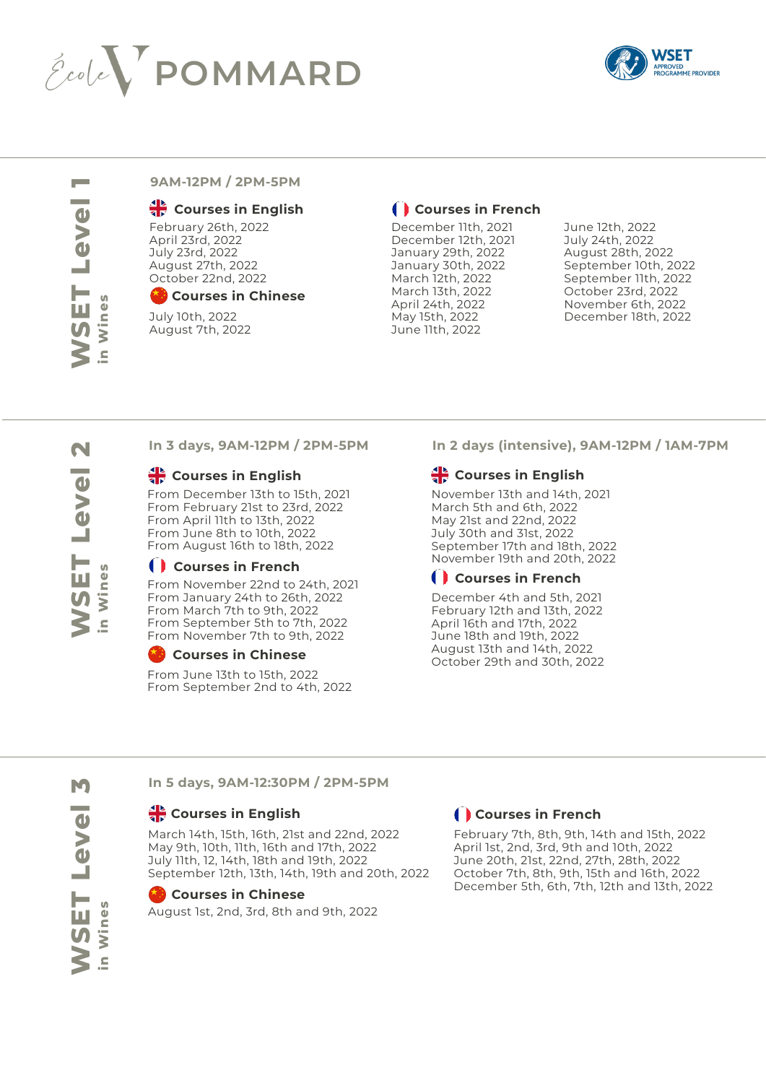



**College WSET Level 1** eve  **in Wines** Wines  $\epsilon$ 

#### **9AM-12PM / 2PM-5PM**

# **Courses in English**

February 26th, 2022 April 23rd, 2022 July 23rd, 2022 August 27th, 2022 October 22nd, 2022

# **Courses in Chinese**

July 10th, 2022 August 7th, 2022

# **Courses in French**

December 11th, 2021 December 12th, 2021 January 29th, 2022 January 30th, 2022 March 12th, 2022 March 13th, 2022 April 24th, 2022 May 15th, 2022 June 11th, 2022

June 12th, 2022 July 24th, 2022 August 28th, 2022 September 10th, 2022 September 11th, 2022 October 23rd, 2022 November 6th, 2022 December 18th, 2022

 $\blacksquare$ **WSET Level 2** Level **TEL in Wines** n Wine

# **Courses in English Courses in English**

From December 13th to 15th, 2021 From February 21st to 23rd, 2022 From April 11th to 13th, 2022 From June 8th to 10th, 2022 From August 16th to 18th, 2022

# **Courses in French**

From November 22nd to 24th, 2021 From January 24th to 26th, 2022 From March 7th to 9th, 2022 From September 5th to 7th, 2022 From November 7th to 9th, 2022

# **Courses in Chinese**

From June 13th to 15th, 2022 From September 2nd to 4th, 2022

**In 3 days, 9AM-12PM / 2PM-5PM In 2 days (intensive), 9AM-12PM / 1AM-7PM**

November 13th and 14th, 2021 March 5th and 6th, 2022 May 21st and 22nd, 2022 July 30th and 31st, 2022 September 17th and 18th, 2022 November 19th and 20th, 2022

# **Courses in French**

December 4th and 5th, 2021 February 12th and 13th, 2022 April 16th and 17th, 2022 June 18th and 19th, 2022 August 13th and 14th, 2022 October 29th and 30th, 2022

# M **WSET Level 3** evel Wines  **in Wines**

**In 5 days, 9AM-12:30PM / 2PM-5PM** 

# **Courses in English**

March 14th, 15th, 16th, 21st and 22nd, 2022 May 9th, 10th, 11th, 16th and 17th, 2022 July 11th, 12, 14th, 18th and 19th, 2022 September 12th, 13th, 14th, 19th and 20th, 2022



# **Courses in Chinese**

August 1st, 2nd, 3rd, 8th and 9th, 2022

# **Courses in French**

February 7th, 8th, 9th, 14th and 15th, 2022 April 1st, 2nd, 3rd, 9th and 10th, 2022 June 20th, 21st, 22nd, 27th, 28th, 2022 October 7th, 8th, 9th, 15th and 16th, 2022 December 5th, 6th, 7th, 12th and 13th, 2022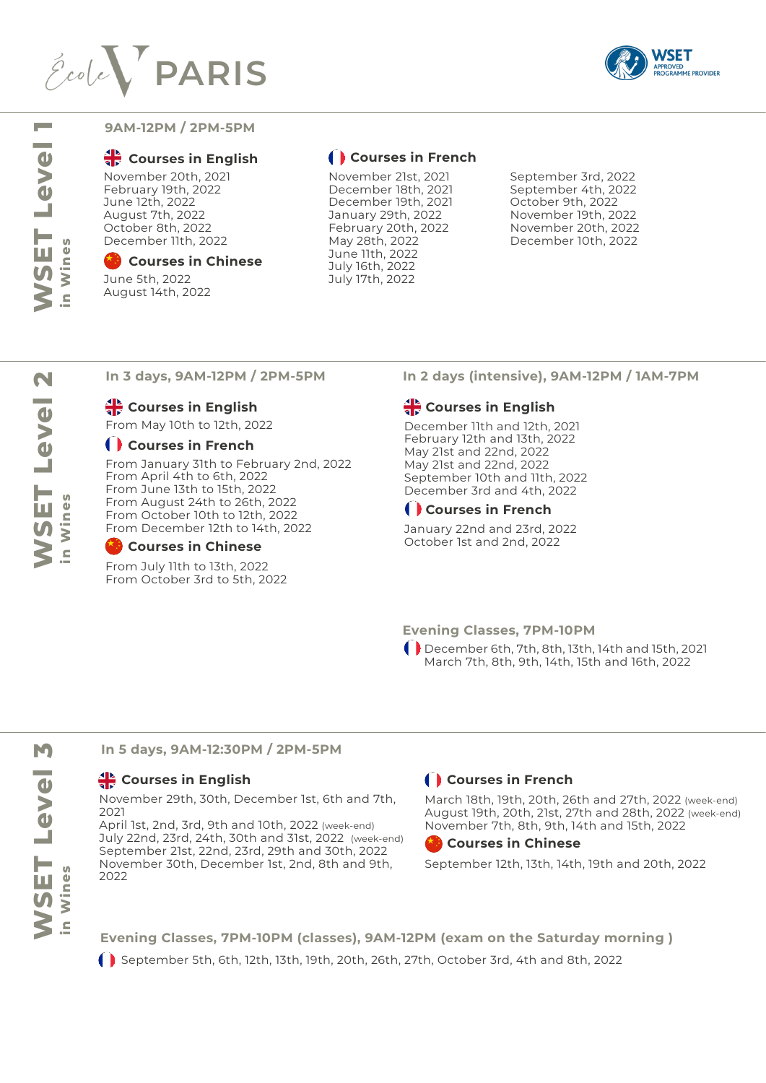



# **WSET Level 1** and the WSET Leve Wines  **in Wines**  $\subseteq$

**College** 

#### **9AM-12PM / 2PM-5PM**

# **Courses in English**

November 20th, 2021 February 19th, 2022 June 12th, 2022 August 7th, 2022 October 8th, 2022 December 11th, 2022

**Courses in Chinese**

June 5th, 2022 August 14th, 2022

# **Courses in French**

November 21st, 2021 December 18th, 2021 December 19th, 2021 January 29th, 2022 February 20th, 2022 May 28th, 2022 June 11th, 2022 July 16th, 2022 July 17th, 2022

September 3rd, 2022 September 4th, 2022 October 9th, 2022 November 19th, 2022 November 20th, 2022 December 10th, 2022

# **In 3 days, 9AM-12PM / 2PM-5PM**

# **Courses in English**

From May 10th to 12th, 2022

#### **Courses in French**

From January 31th to February 2nd, 2022 From April 4th to 6th, 2022 From June 13th to 15th, 2022 From August 24th to 26th, 2022 From October 10th to 12th, 2022 From December 12th to 14th, 2022

# **Courses in Chinese**

From July 11th to 13th, 2022 From October 3rd to 5th, 2022

# **In 2 days (intensive), 9AM-12PM / 1AM-7PM**

# **Courses in English**

December 11th and 12th, 2021 February 12th and 13th, 2022 May 21st and 22nd, 2022 May 21st and 22nd, 2022 September 10th and 11th, 2022 December 3rd and 4th, 2022

# **Courses in French**

January 22nd and 23rd, 2022 October 1st and 2nd, 2022

# **Evening Classes, 7PM-10PM**

December 6th, 7th, 8th, 13th, 14th and 15th, 2021 March 7th, 8th, 9th, 14th, 15th and 16th, 2022

# **In 5 days, 9AM-12:30PM / 2PM-5PM**

# **Courses in English Courses in French**

November 29th, 30th, December 1st, 6th and 7th, 2021

April 1st, 2nd, 3rd, 9th and 10th, 2022 (week-end) July 22nd, 23rd, 24th, 30th and 31st, 2022 (week-end) September 21st, 22nd, 23rd, 29th and 30th, 2022 November 30th, December 1st, 2nd, 8th and 9th, 2022

March 18th, 19th, 20th, 26th and 27th, 2022 (week-end) August 19th, 20th, 21st, 27th and 28th, 2022 (week-end) November 7th, 8th, 9th, 14th and 15th, 2022

# **Courses in Chinese**

September 12th, 13th, 14th, 19th and 20th, 2022

**Evening Classes, 7PM-10PM (classes), 9AM-12PM (exam on the Saturday morning )**

September 5th, 6th, 12th, 13th, 19th, 20th, 26th, 27th, October 3rd, 4th and 8th, 2022

 $\sim$ **WSET Level 2 MSET Level in Wines** Wine  $\epsilon$ 

**WSET Level 3**

**WSET Level** 

M

 **in Wines**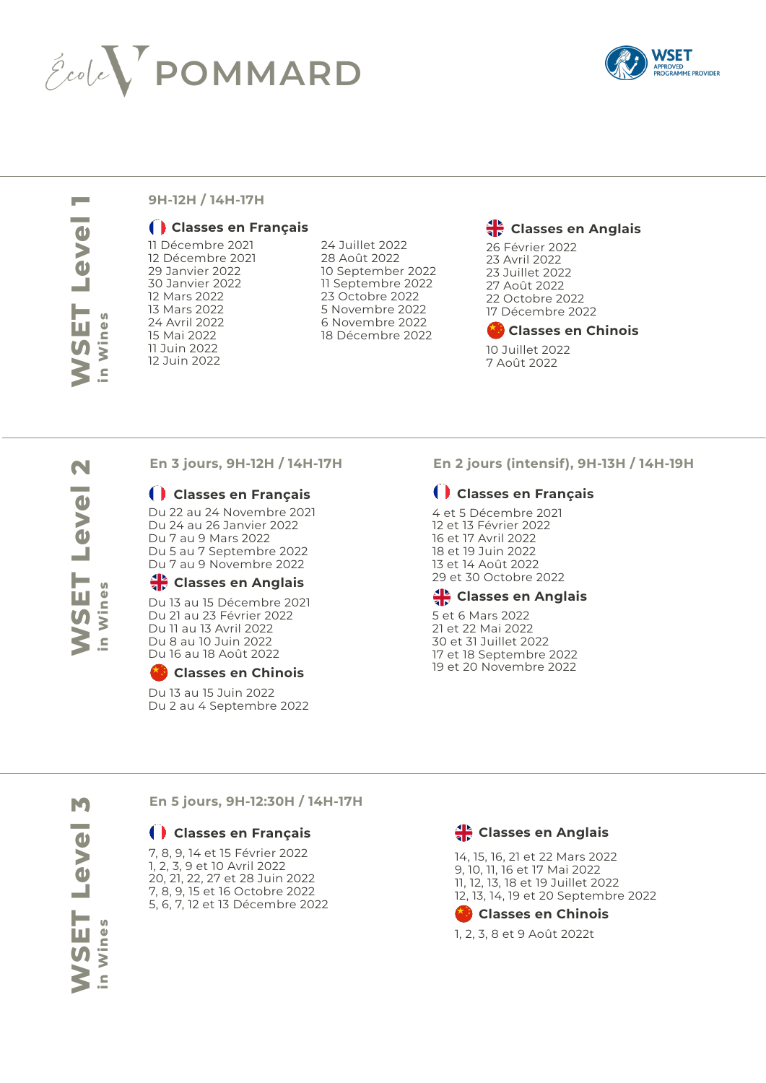



**WSET Level 1** Level **TEL** Wines  **in Wines**  $\overline{a}$ 

# **9H-12H / 14H-17H**

#### **Classes en Français**

24 Juillet 2022 28 Août 2022 10 September 2022 11 Septembre 2022 23 Octobre 2022 5 Novembre 2022 6 Novembre 2022 18 Décembre 2022

26 Février 2022 23 Avril 2022 **Classes en Anglais**

23 Juillet 2022 27 Août 2022 22 Octobre 2022 17 Décembre 2022

**Classes en Chinois**

10 Juillet 2022 7 Août 2022

 $\mathbf N$ **WSET Level 2** Level Wines  **in Wines**  $\epsilon$ 

# **Classes en Français**

Du 22 au 24 Novembre 2021 Du 24 au 26 Janvier 2022 Du 7 au 9 Mars 2022 Du 5 au 7 Septembre 2022 Du 7 au 9 Novembre 2022

# **Classes en Anglais**

Du 13 au 15 Décembre 2021 Du 21 au 23 Février 2022 Du 11 au 13 Avril 2022 Du 8 au 10 Juin 2022 Du 16 au 18 Août 2022

# **Classes en Chinois**

Du 13 au 15 Juin 2022 Du 2 au 4 Septembre 2022

**En 3 jours, 9H-12H / 14H-17H En 2 jours (intensif), 9H-13H / 14H-19H** 

# **Classes en Français**

4 et 5 Décembre 2021 12 et 13 Février 2022 16 et 17 Avril 2022 18 et 19 Juin 2022 13 et 14 Août 2022 29 et 30 Octobre 2022

# **Classes en Anglais**

5 et 6 Mars 2022 21 et 22 Mai 2022 30 et 31 Juillet 2022 17 et 18 Septembre 2022 19 et 20 Novembre 2022

**WSET Level 3** M **Leve WSET** in Wines  **in Wines**

# **En 5 jours, 9H-12:30H / 14H-17H**

# **Classes en Français Classes en Anglais**

7, 8, 9, 14 et 15 Février 2022 1, 2, 3, 9 et 10 Avril 2022 20, 21, 22, 27 et 28 Juin 2022 7, 8, 9, 15 et 16 Octobre 2022 5, 6, 7, 12 et 13 Décembre 2022

 14, 15, 16, 21 et 22 Mars 2022 9, 10, 11, 16 et 17 Mai 2022 11, 12, 13, 18 et 19 Juillet 2022 12, 13, 14, 19 et 20 Septembre 2022

# **Classes en Chinois**

1, 2, 3, 8 et 9 Août 2022t